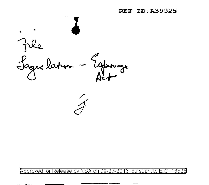**REF ID: A39925** 



Approved for Release by NSA on 09-27-2013 pursuant to E.O. 13526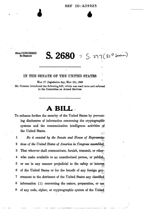$S. 2680 = S.$  277 (81st Sevent)

#### **80TH CONGRESS** 2D SESSION

#### IN THE SENATE OF THE UNITED STATES

MAY 17 (legislative day, MAY 10), 1948 Mr. GURNEY introduced the following bill; which was read twice and referred to the Committee on Armed Services

## A BILL

To enhance further the security of the United States by preventing disclosures of information concerning the cryptographic systems and the communication intelligence activities of the United States.  $\sim$  1

 $\mathbf{1}$ Be it enacted by the Senate and House of Representa- $\bf{2}$ tives of the United States of America in Congress assembled, 3 That whoever shall communicate, furnish, transmit, or other- $\overline{\mathbf{4}}$ wise make available to an unauthorized person, or publish, 5 or use in any manner prejudicial to the safety or interest of the United States or for the benefit of any foreign goy-6 ernment to the detriment of the United States any classified 7 information (1) concerning the nature, preparation, or use 8 9 of any code, cipher, or cryptrographic system of the United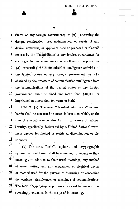2

1 States or any foreign government; or (2) concerning the 2 design, construction, use, maintenance, or repair of any 3 device, apparatus, or appliance used or prepared or planned 4 for use by the United States or any foreign government for 5 cryptographic or communication intelligence purposes; or 6 (3) concerning the communication intelligence activities of 7 the, United States or any foreign government; or (4) 8 obtained by the processes of communication intelligence from 9 the communications of the United States or any foreign 10 government, shall! be fined not more than \$10,000 or 11 imprisoned not more than ten years or both.

12 SEC. 2. (a). The term "classified information" as used 13 herein shall be construed to mean information which, at the 14 time of a violation under this Act, is, for reasons of national 15 security, specifically designated by a United States Govem-16 ment agency for limited or restricted dissemination or dis-17 tribution.

18 (b) The terms "code", "cipher", and "cryptographic . . 19 system'' as used herein shall be construed to include in their 2o meanings, in addition to their usual meanings, any method 21 of secret writing and any mechanical or electrical device 22 or method used for the purpose of disguising or concealing 23 the contents, significance, or meanings of communications. 24. The term "cryptographic purposes" as used herein is corre-26 spondingly extended in the scope of its meaning.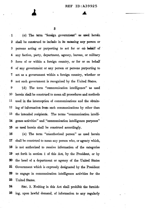(c) The term "foreign government" as used herein  $\blacksquare$ shall be construed to include in its meaning any person or  $\boldsymbol{2}$ persons acting or purporting to act for or on behalf of 3 any faction, party, department, agency, bureau, or military 4 force of or within a foreign country, or for or on behalf 5 of any government or any person or persons purporting to 6 act as a government within a foreign country, whether or 7 not such government is recognized by the United States. 8

9 (d) The term "communication intelligence" as used herein shall be construed to mean all procedures and methods 10  $11$ used in the interception of communications and the obtain-12 ing of information from such communications by other than 13 the intended recipients. The terms "communication intelligence activities" and "communication intelligence purposes" 14 15 as used herein shall be construed accordingly.

16 (e) The term "unauthorized person" as used herein 17 shall be construed to mean any person who, or agency which, 18 is not authorized to receive information of the categories 19 set forth in section 1 of this Act, by the President, or by 20 the head of a department or agency of the United States 21 Government which is expressly designated by the President 22 to engage in communication intelligence activities for the 23 United States.

24 SEC. 3. Nothing in this Act shall prohibit the furnish-25 ing, upon lawful demand, of information to any regularly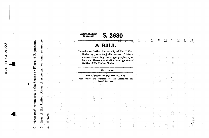constituted committee of the Senate or House of Representacommittee joint America,  $\ddot{\sigma}$ **States** United the  $\sigma$ tives  $\overline{ }$ 

LŊ,

ID: A3992

**RE**<br>R

 $\sigma$ N

thereof. co.

 $\frac{64}{2}$ سد<br>ت 엄 ν A BILL To enhance further the security of the United States by preventing disclosures of information concerning the cryptographic systems and the communication intelligence activities of the United States. By Mr. GURNEY MAY 17 (legislative day, MAY 10), 1948 Read twice and referred to the Committee on **Armed Services** 

 $\frac{d-3}{2}$ 

္သ

 $\begin{array}{c} \mathbf{1} \\ \mathbf{1} \\ \mathbf{1} \\ \mathbf{1} \end{array}$ 

信用

Ğ.

 $\frac{3}{8}$ 

S. 2680

80TH CONGRESS<br>2D SESSION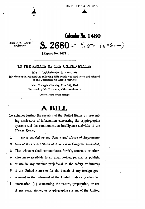**Calendar No. 1480** 

80TH CONGRESS 2D SESSION

,

~

# $S. 2680 - S.277 (spt Sewon)$

**[Report No.1433].** 

#### IN THE SENATE OF THE UNITED STATES

MAY 17 (legislative day, MAY 10), 1948 Mr. GURNEY introduced the following bill; which was read twice and referred to the Committee on Armed Services

> MAY 28 (legislative day, MAY 20), 1948 Reported by Mr. BALDWIN, with amendments

> > I.Omit the part struck through]

# **ABILL**

To enhance further the security of the United States by preventing disclosures of information concerning the cryptographic systems and the communication intelligence activities of the United States.

1 *Be it enacted by the Senate and House of Representa-*2 *tives of the United States of America in Congress assembled,*  3 That whoever shall communicate; furnish, transmit, or other-4 wise make available to an unauthorized person, or publish, 5 or use in any manner prejudicial to the safety or intere&t 6 of the United States or for the benefit of any foreign gov-7 ernment to the detriment of the United States any classified 8 information (1) concerning the nature, preparation, or use 9 of any code, cipher, or cryptographic system of the United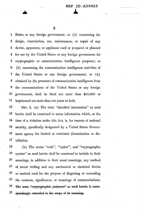~

1. States or any foreign government; or  $(2)$  concerning the 2 design, construction, use, maintenance, or repair of any 3 device, apparatus, or appliance used or prepared or planned 4 for use by the United States or any foreign government for 5 cryptographic or communication intelligence purposes; or 6 ( 3) concerning the communication intelligence activities of 7 the United States or any foreign government; or ( 4) 8 obtained by the processes of communication intelligence from 9 - the communications of the United States or any foreign 10 government, shall be fined not more than \$10,000 or 11 imprisoned not more than ten years or both.

12 SEC. 2. (a) The term "classified information" as used 13 herein shall be construed to mean information which, at the 14 time of a violation under this Act, is, for reasons of national 15 security, specifically designated by a United States Govern-16 ment agency for limited or restrioted dissemination or dis-17 tribution.

18 (b) The terms "code", "cipher", and "cryptographic - 19 system" as used herein shall be construed to include in their 20 meanings, in addition to their usual. meanings, any method 21 of secret writing and any mechanical or electrical device· 22 or method used for the purpose of disguising or concealing 23 the contents, significance, or meanings of communications.  $24$  The term "eryptographic purposes" as used herein is corre- $25$  spondingly extended in the seepe of its meaning.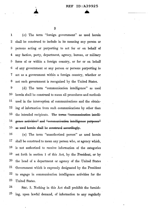$\bf{3}$ 

(c) The term "foreign government" as used herein  $\mathbf{1}$  $\overline{2}$ shall be construed to include in its meaning any person or persons acting or purporting to act for or on behalf of 3 any faction, party, department, agency, bureau, or military  $\boldsymbol{4}$ 5 force of or within a foreign country, or for or on behalf 6 of any government or any person or persons purporting to 7 act as a government within a foreign country, whether or 8 not such government is recognized by the United States.

9 (d) The term "communication intelligence" as used **1**0 herein shall be construed to mean all procedures and methods 11 used in the interception of communications and the obtain-12 ing of information from such communications by other than 13 the intended recipients. The terms "communication intelli-14 gence activities" and "communication intelligence purposes" **15** as used herein shall be construed accordingly.

**16** (e) The term "unauthorized person" as used herein  $17\,$ shall be construed to mean any person who, or agency which, **18** is not authorized to receive information of the categories 19 set forth in section 1 of this Act, by the President, or by **20** the head of a department or agency of the United States 21 Government which is expressly designated by the President 22 to engage in communication intelligence activities for the 23 United States.

24 SEC. 3. Nothing in this Act shall prohibit the furnish- $25\,$ ing, upon lawful demand, of information to any regularly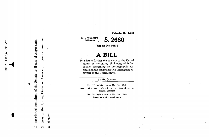constituted committee of the Senate or House of Representa- $\blacksquare$ 

ທາ

ID: A3992

REF

joint con States of United the tives of  $\boldsymbol{\alpha}$ 

thereof. က

SOTH CONGRESS

2D SESSION

**S.2680** 

**Calendar No. 1480** 

**[Report No. 1433]** 

## **ABILL**

To enhance further the security of the United States by preventing disclosures of information concerning the cryptographic systems and the communication intelligence activities of the United States.

By Mr. GURNEY

MAY 17 (legislative day, MAY 10), 1948 Read twice and referred to the Committee on Armed Services

> MAY 28 (legislative day, MAY 20), 1948 RePorted with amendments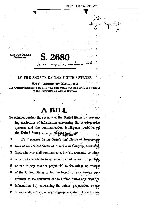$760 - 24.40 + 4$ 

2

J,

Å,

å

 $\mathcal{L}_1$ 

 $\n *D*$ 

**80TH CONGRESS 2D SESSION** 

### IN THE SENATE OF THE UNITED STATES

S. 268

MAY 17 (legislative day, MAY 10), 1948

Mr. GURNEY introduced the following bill; which was read twice and referred to the Committee on Armed Services

# **BILL**

To enhance further the security of the United States by preventing disclosures of information concerning the cryptographic systems and the communication intelligence activities and the United States,  $\leftarrow$   $\downarrow$   $\sim$   $\frac{1}{2}$ δĽ

 $\mathbf 1$ Be it enacted by the Senate and House of Representatives of the United States of America in Congress assembled,  $\bf{2}$ 3 That whoever shall communicate, furnish, transmit, or other- $\overline{\mathbf{4}}$ wise make available to an unauthorized person, or publish, 5 or use in any manner prejudicial to the safety or interest of the United States or for the benefit of any foreign gov-6 7 ernment to the detriment of the United States any classified 8 information (1) concerning the nature, preparation, or use  $9$ of any code, cipher, or cryptrographic system of the United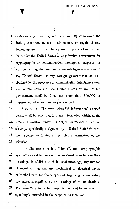r

2

1 States or any foreign government; or  $(2)$  concerning the 2 design, construction, use, maintenance, or repair of any 3 device, apparatus, or appliance used or prepared or planned 4 for use by the United States or any foreign government for 5 cryptographic or communication intelligence purposes; or 6 ( 3) concerning the communication intelligence activities of 7 the United States or any foreign government; or (4) 8 obtained by the processes of communication intelligence from 9 the communications of the United States or any foreign 10 government, shall! be fined not more than \$10,000 or 11 imprisoned not more than ten years or both.

12 SEC. 2. (a) The term "classified information" as used 13 herein shall be construed to mean information which, at the **14** time of a violation under this Act, is, for reasons of national 15 security, specifically designated by a United States Govern-16 ment agency for limited or restricted dissemination or dis-1'7 tribution.

lS (b) The terms "code';, "cipher", and "cryptographic 19 system" as used herein shall be construed to include in their 20 meanings, in addition to their usual meanings, any method . 21 of secret writing and any mechanical or electrical device 22 or method used for the purpose· of disguising or concealing 23 the contents, significance, or meanings of communications. 24 The term "cryptographic purposes" as used herein is corre-25 spondingly extended in the scope of its meaning.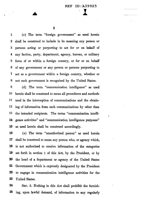s.

1 (c) The term "foreign government" as used herein 2. shall be construed to include in its meaning any person or 3 persons acting or purporting to act for or on behalf of 4 any faction, party, department, agency, bureau, or military 5 force of or within a foreign country, or for or on behalf 6 of any government or any person or persons purporting to 7 act as a government within a foreign country, whether or 8 not such government is recognized by the United States.

9 ( d) The term "communication intelligence" as used 10 herein shall be construed to mean all procedures and methods 11 used in the interception of communications and the obtain-12 ing of information from such communications by other than 13 the intended recipients. The terms "communication intelli-**14** gence activities" and "communication intelligence purposes" **15** as used herein shall be construed accordingly.

( e) The· term "unauthorized person" as used herein shall be construed to mean any person who, or agency which, is not authorized to receive information of the categories set forth in section 1 of this Act, by the President, or by the head of a department or agency of the United States Government which is expressly designated· by the President 22 to engage in communication intelligence activities for the 23 United States.

24 SEC. 3. Nothing in this Act shall prohibit the furnish-25 ing, upon lawful demand, of information to any regularly